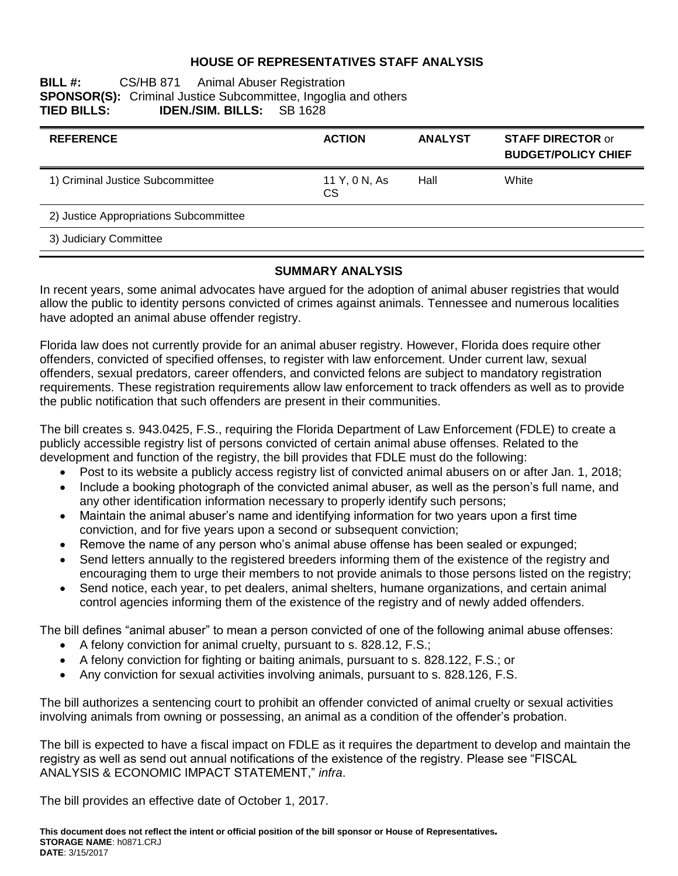## **HOUSE OF REPRESENTATIVES STAFF ANALYSIS**

### **BILL #:** CS/HB 871 Animal Abuser Registration **SPONSOR(S):** Criminal Justice Subcommittee, Ingoglia and others **TIED BILLS: IDEN./SIM. BILLS:** SB 1628 **TIED BILLS: IDEN./SIM. BILLS:** SB 1628

| <b>REFERENCE</b>                       | <b>ACTION</b>              | <b>ANALYST</b> | <b>STAFF DIRECTOR or</b><br><b>BUDGET/POLICY CHIEF</b> |
|----------------------------------------|----------------------------|----------------|--------------------------------------------------------|
| 1) Criminal Justice Subcommittee       | 11 Y, 0 N, As<br><b>CS</b> | Hall           | White                                                  |
| 2) Justice Appropriations Subcommittee |                            |                |                                                        |
| 3) Judiciary Committee                 |                            |                |                                                        |

### **SUMMARY ANALYSIS**

In recent years, some animal advocates have argued for the adoption of animal abuser registries that would allow the public to identity persons convicted of crimes against animals. Tennessee and numerous localities have adopted an animal abuse offender registry.

Florida law does not currently provide for an animal abuser registry. However, Florida does require other offenders, convicted of specified offenses, to register with law enforcement. Under current law, sexual offenders, sexual predators, career offenders, and convicted felons are subject to mandatory registration requirements. These registration requirements allow law enforcement to track offenders as well as to provide the public notification that such offenders are present in their communities.

The bill creates s. 943.0425, F.S., requiring the Florida Department of Law Enforcement (FDLE) to create a publicly accessible registry list of persons convicted of certain animal abuse offenses. Related to the development and function of the registry, the bill provides that FDLE must do the following:

- Post to its website a publicly access registry list of convicted animal abusers on or after Jan. 1, 2018;
- Include a booking photograph of the convicted animal abuser, as well as the person's full name, and any other identification information necessary to properly identify such persons;
- Maintain the animal abuser's name and identifying information for two years upon a first time conviction, and for five years upon a second or subsequent conviction;
- Remove the name of any person who's animal abuse offense has been sealed or expunged;
- Send letters annually to the registered breeders informing them of the existence of the registry and encouraging them to urge their members to not provide animals to those persons listed on the registry;
- Send notice, each year, to pet dealers, animal shelters, humane organizations, and certain animal control agencies informing them of the existence of the registry and of newly added offenders.

The bill defines "animal abuser" to mean a person convicted of one of the following animal abuse offenses:

- A felony conviction for animal cruelty, pursuant to s. 828.12, F.S.;
- A felony conviction for fighting or baiting animals, pursuant to s. 828.122, F.S.; or
- Any conviction for sexual activities involving animals, pursuant to s. 828.126, F.S.

The bill authorizes a sentencing court to prohibit an offender convicted of animal cruelty or sexual activities involving animals from owning or possessing, an animal as a condition of the offender's probation.

The bill is expected to have a fiscal impact on FDLE as it requires the department to develop and maintain the registry as well as send out annual notifications of the existence of the registry. Please see "FISCAL ANALYSIS & ECONOMIC IMPACT STATEMENT," *infra*.

The bill provides an effective date of October 1, 2017.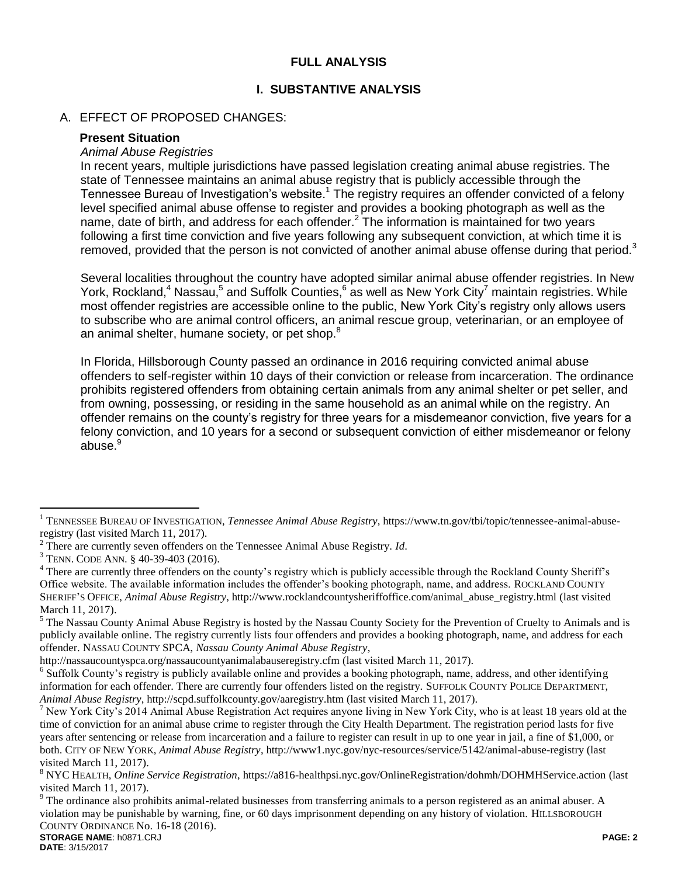## **FULL ANALYSIS**

#### **I. SUBSTANTIVE ANALYSIS**

#### A. EFFECT OF PROPOSED CHANGES:

#### **Present Situation**

#### *Animal Abuse Registries*

In recent years, multiple jurisdictions have passed legislation creating animal abuse registries. The state of Tennessee maintains an animal abuse registry that is publicly accessible through the Tennessee Bureau of Investigation's website.<sup>1</sup> The registry requires an offender convicted of a felony level specified animal abuse offense to register and provides a booking photograph as well as the name, date of birth, and address for each offender.<sup>2</sup> The information is maintained for two years following a first time conviction and five years following any subsequent conviction, at which time it is removed, provided that the person is not convicted of another animal abuse offense during that period.<sup>3</sup>

Several localities throughout the country have adopted similar animal abuse offender registries. In New York, Rockland,<sup>4</sup> Nassau,<sup>5</sup> and Suffolk Counties,<sup>6</sup> as well as New York City<sup>7</sup> maintain registries. While most offender registries are accessible online to the public, New York City's registry only allows users to subscribe who are animal control officers, an animal rescue group, veterinarian, or an employee of an animal shelter, humane society, or pet shop.<sup>8</sup>

In Florida, Hillsborough County passed an ordinance in 2016 requiring convicted animal abuse offenders to self-register within 10 days of their conviction or release from incarceration. The ordinance prohibits registered offenders from obtaining certain animals from any animal shelter or pet seller, and from owning, possessing, or residing in the same household as an animal while on the registry. An offender remains on the county's registry for three years for a misdemeanor conviction, five years for a felony conviction, and 10 years for a second or subsequent conviction of either misdemeanor or felony abuse.<sup>9</sup>

 $\overline{a}$ 

<sup>1</sup> TENNESSEE BUREAU OF INVESTIGATION, *Tennessee Animal Abuse Registry*, [https://www.tn.gov/tbi/topic/tennessee-animal-abuse](https://www.tn.gov/tbi/topic/tennessee-animal-abuse-registry)[registry](https://www.tn.gov/tbi/topic/tennessee-animal-abuse-registry) (last visited March 11, 2017).

<sup>2</sup> There are currently seven offenders on the Tennessee Animal Abuse Registry. *Id*.

<sup>3</sup> TENN. CODE ANN. § 40-39-403 (2016).

<sup>&</sup>lt;sup>4</sup> There are currently three offenders on the county's registry which is publicly accessible through the Rockland County Sheriff's Office website. The available information includes the offender's booking photograph, name, and address. ROCKLAND COUNTY SHERIFF'S OFFICE, *Animal Abuse Registry*[, http://www.rocklandcountysheriffoffice.com/animal\\_abuse\\_registry.html](http://www.rocklandcountysheriffoffice.com/animal_abuse_registry.html) (last visited March 11, 2017).

<sup>&</sup>lt;sup>5</sup> The Nassau County Animal Abuse Registry is hosted by the Nassau County Society for the Prevention of Cruelty to Animals and is publicly available online. The registry currently lists four offenders and provides a booking photograph, name, and address for each offender. NASSAU COUNTY SPCA, *Nassau County Animal Abuse Registry*,

<http://nassaucountyspca.org/nassaucountyanimalabauseregistry.cfm> (last visited March 11, 2017).

<sup>&</sup>lt;sup>6</sup> Suffolk County's registry is publicly available online and provides a booking photograph, name, address, and other identifying information for each offender. There are currently four offenders listed on the registry. SUFFOLK COUNTY POLICE DEPARTMENT, *Animal Abuse Registry*[, http://scpd.suffolkcounty.gov/aaregistry.htm](http://scpd.suffolkcounty.gov/aaregistry.htm) (last visited March 11, 2017).

<sup>7</sup> New York City's 2014 Animal Abuse Registration Act requires anyone living in New York City, who is at least 18 years old at the time of conviction for an animal abuse crime to register through the City Health Department. The registration period lasts for five years after sentencing or release from incarceration and a failure to register can result in up to one year in jail, a fine of \$1,000, or both. CITY OF NEW YORK, *Animal Abuse Registry*,<http://www1.nyc.gov/nyc-resources/service/5142/animal-abuse-registry> (last visited March 11, 2017).

<sup>8</sup> NYC HEALTH, *Online Service Registration*,<https://a816-healthpsi.nyc.gov/OnlineRegistration/dohmh/DOHMHService.action> (last visited March 11, 2017).

<sup>&</sup>lt;sup>9</sup> The ordinance also prohibits animal-related businesses from transferring animals to a person registered as an animal abuser. A violation may be punishable by warning, fine, or 60 days imprisonment depending on any history of violation. HILLSBOROUGH COUNTY ORDINANCE No. 16-18 (2016).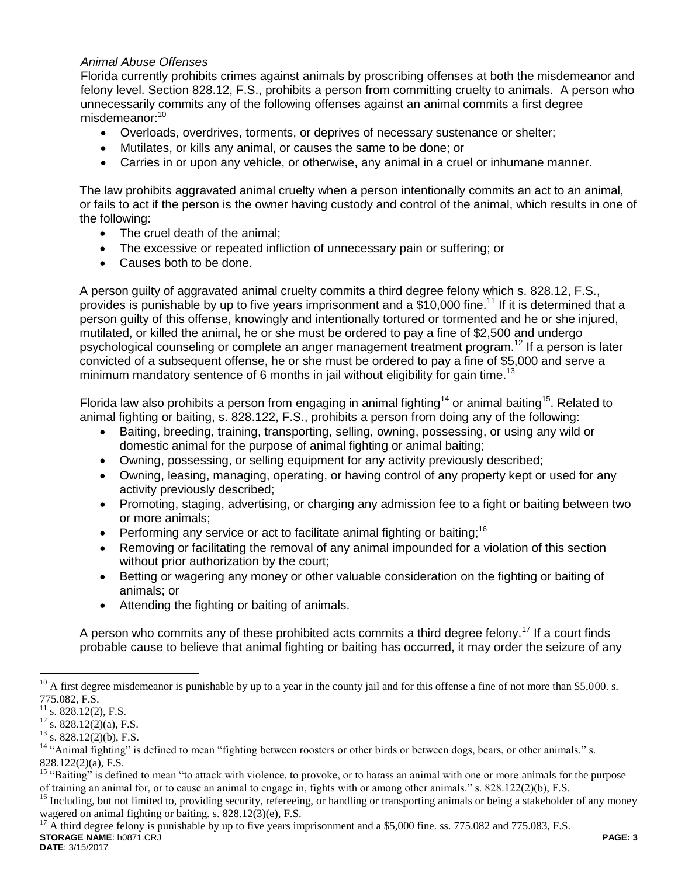# *Animal Abuse Offenses*

Florida currently prohibits crimes against animals by proscribing offenses at both the misdemeanor and felony level. Section 828.12, F.S., prohibits a person from committing cruelty to animals. A person who unnecessarily commits any of the following offenses against an animal commits a first degree misdemeanor:<sup>10</sup>

- Overloads, overdrives, torments, or deprives of necessary sustenance or shelter;
- Mutilates, or kills any animal, or causes the same to be done; or
- Carries in or upon any vehicle, or otherwise, any animal in a cruel or inhumane manner.

The law prohibits aggravated animal cruelty when a person intentionally commits an act to an animal, or fails to act if the person is the owner having custody and control of the animal, which results in one of the following:

- The cruel death of the animal;
- The excessive or repeated infliction of unnecessary pain or suffering; or
- Causes both to be done.

A person guilty of aggravated animal cruelty commits a third degree felony which s. 828.12, F.S., provides is punishable by up to five years imprisonment and a  $$10,000$  fine.<sup>11</sup> If it is determined that a person guilty of this offense, knowingly and intentionally tortured or tormented and he or she injured, mutilated, or killed the animal, he or she must be ordered to pay a fine of \$2,500 and undergo psychological counseling or complete an anger management treatment program.<sup>12</sup> If a person is later convicted of a subsequent offense, he or she must be ordered to pay a fine of \$5,000 and serve a minimum mandatory sentence of 6 months in jail without eligibility for gain time.<sup>13</sup>

Florida law also prohibits a person from engaging in animal fighting<sup>14</sup> or animal baiting<sup>15</sup>. Related to animal fighting or baiting, s. 828.122, F.S., prohibits a person from doing any of the following:

- Baiting, breeding, training, transporting, selling, owning, possessing, or using any wild or domestic animal for the purpose of animal fighting or animal baiting;
- Owning, possessing, or selling equipment for any activity previously described;
- Owning, leasing, managing, operating, or having control of any property kept or used for any activity previously described;
- Promoting, staging, advertising, or charging any admission fee to a fight or baiting between two or more animals;
- **Performing any service or act to facilitate animal fighting or baiting:**<sup>16</sup>
- Removing or facilitating the removal of any animal impounded for a violation of this section without prior authorization by the court;
- Betting or wagering any money or other valuable consideration on the fighting or baiting of animals; or
- Attending the fighting or baiting of animals.

A person who commits any of these prohibited acts commits a third degree felony.<sup>17</sup> If a court finds probable cause to believe that animal fighting or baiting has occurred, it may order the seizure of any

 $\overline{a}$ 

 $10$  A first degree misdemeanor is punishable by up to a year in the county jail and for this offense a fine of not more than \$5,000. s.  $775.082, F.S.$ 

s. 828.12(2), F.S.

 $12$  s. 828.12(2)(a), F.S.

 $^{13}$  s. 828.12(2)(b), F.S.

<sup>&</sup>lt;sup>14</sup> "Animal fighting" is defined to mean "fighting between roosters or other birds or between dogs, bears, or other animals." s. 828.122(2)(a), F.S.

<sup>&</sup>lt;sup>15</sup> "Baiting" is defined to mean "to attack with violence, to provoke, or to harass an animal with one or more animals for the purpose of training an animal for, or to cause an animal to engage in, fights with or among other animals." s. 828.122(2)(b), F.S.

<sup>&</sup>lt;sup>16</sup> Including, but not limited to, providing security, refereeing, or handling or transporting animals or being a stakeholder of any money wagered on animal fighting or baiting. s. 828.12(3)(e), F.S.

**STORAGE NAME**: h0871.CRJ **PAGE: 3 DATE**: 3/15/2017 <sup>17</sup> A third degree felony is punishable by up to five years imprisonment and a \$5,000 fine. ss. 775.082 and 775.083, F.S.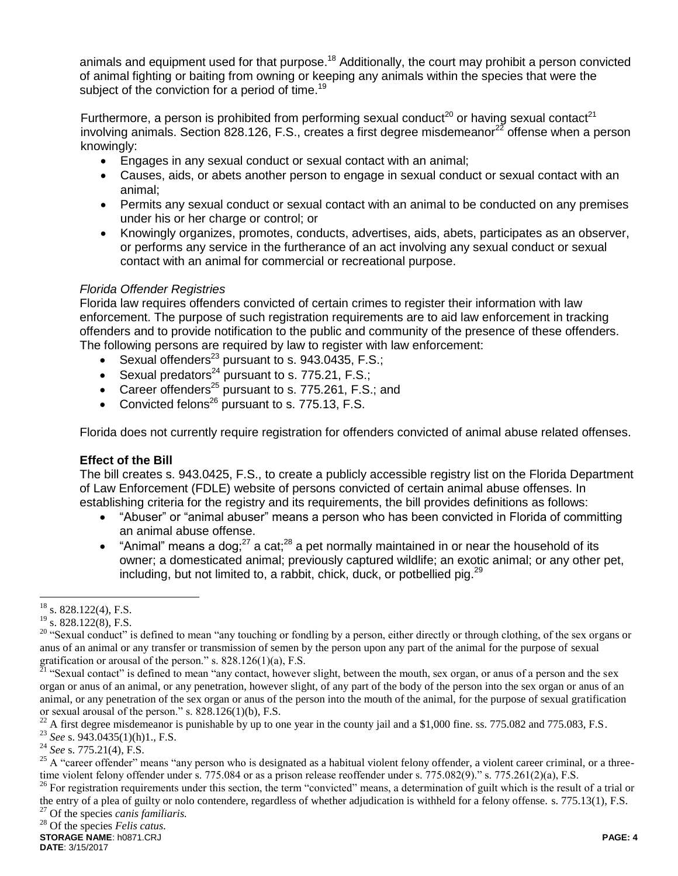animals and equipment used for that purpose.<sup>18</sup> Additionally, the court may prohibit a person convicted of animal fighting or baiting from owning or keeping any animals within the species that were the subject of the conviction for a period of time.<sup>19</sup>

Furthermore, a person is prohibited from performing sexual conduct<sup>20</sup> or having sexual contact<sup>21</sup> involving animals. Section 828.126, F.S., creates a first degree misdemeanor<sup>22</sup> offense when a person knowingly:

- Engages in any sexual conduct or sexual contact with an animal;
- Causes, aids, or abets another person to engage in sexual conduct or sexual contact with an animal;
- Permits any sexual conduct or sexual contact with an animal to be conducted on any premises under his or her charge or control; or
- Knowingly organizes, promotes, conducts, advertises, aids, abets, participates as an observer, or performs any service in the furtherance of an act involving any sexual conduct or sexual contact with an animal for commercial or recreational purpose.

### *Florida Offender Registries*

Florida law requires offenders convicted of certain crimes to register their information with law enforcement. The purpose of such registration requirements are to aid law enforcement in tracking offenders and to provide notification to the public and community of the presence of these offenders. The following persons are required by law to register with law enforcement:

- Sexual offenders<sup>23</sup> pursuant to s. 943.0435, F.S.;
- Sexual predators<sup>24</sup> pursuant to s. 775.21, F.S.;
- Career offenders<sup>25</sup> pursuant to s. 775.261, F.S.; and
- Convicted felons<sup>26</sup> pursuant to s. 775.13,  $F.S.$

Florida does not currently require registration for offenders convicted of animal abuse related offenses.

# **Effect of the Bill**

The bill creates s. 943.0425, F.S., to create a publicly accessible registry list on the Florida Department of Law Enforcement (FDLE) website of persons convicted of certain animal abuse offenses. In establishing criteria for the registry and its requirements, the bill provides definitions as follows:

- "Abuser" or "animal abuser" means a person who has been convicted in Florida of committing an animal abuse offense.
- "Animal" means a dog:  $27$  a cat;  $28$  a pet normally maintained in or near the household of its owner; a domesticated animal; previously captured wildlife; an exotic animal; or any other pet, including, but not limited to, a rabbit, chick, duck, or potbellied pig. $^{29}$

 $\overline{a}$ 

<sup>26</sup> For registration requirements under this section, the term "convicted" means, a determination of guilt which is the result of a trial or the entry of a plea of guilty or nolo contendere, regardless of whether adjudication is withheld for a felony offense. s. 775.13(1), F.S.

<sup>27</sup> Of the species *canis familiaris.*

 $^{18}$  s. 828.122(4), F.S.

 $19$  s. 828.122(8), F.S.

<sup>&</sup>lt;sup>20</sup> "Sexual conduct" is defined to mean "any touching or fondling by a person, either directly or through clothing, of the sex organs or anus of an animal or any transfer or transmission of semen by the person upon any part of the animal for the purpose of sexual gratification or arousal of the person." s.  $828.126(1)(a)$ , F.S.

 $^{\overline{2}1}$  "Sexual contact" is defined to mean "any contact, however slight, between the mouth, sex organ, or anus of a person and the sex organ or anus of an animal, or any penetration, however slight, of any part of the body of the person into the sex organ or anus of an animal, or any penetration of the sex organ or anus of the person into the mouth of the animal, for the purpose of sexual gratification or sexual arousal of the person." s. 828.126(1)(b), F.S.

<sup>22</sup> A first degree misdemeanor is punishable by up to one year in the county jail and a \$1,000 fine. ss. 775.082 and 775.083, F.S.

<sup>23</sup> *See* s. 943.0435(1)(h)1., F.S.

<sup>24</sup> *See* s. 775.21(4), F.S.

<sup>&</sup>lt;sup>25</sup> A "career offender" means "any person who is designated as a habitual violent felony offender, a violent career criminal, or a threetime violent felony offender under s. 775.084 or as a prison release reoffender under s. 775.082(9)." s. 775.261(2)(a), F.S.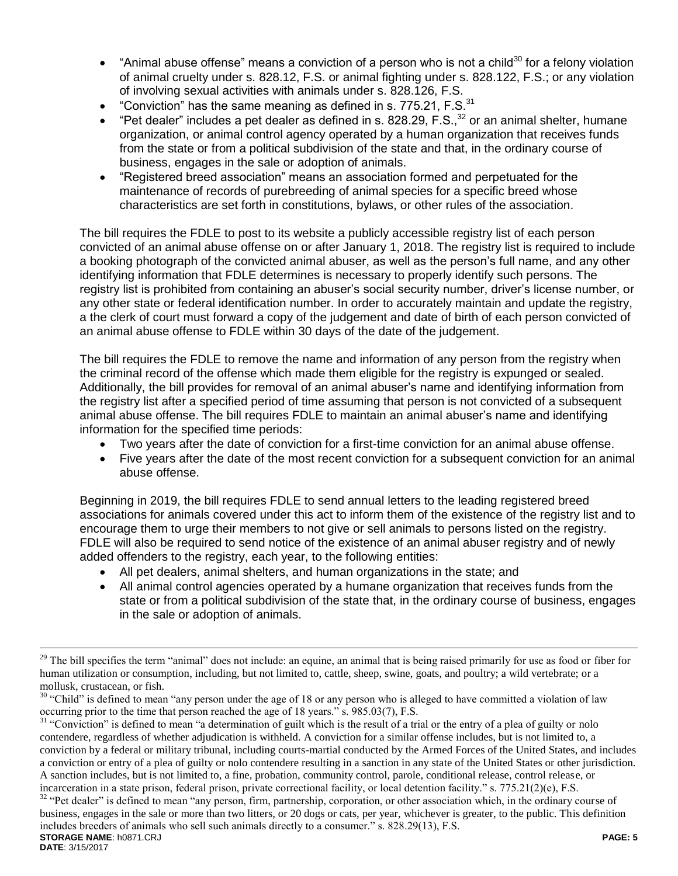- "Animal abuse offense" means a conviction of a person who is not a child<sup>30</sup> for a felony violation of animal cruelty under s. 828.12, F.S. or animal fighting under s. 828.122, F.S.; or any violation of involving sexual activities with animals under s. 828.126, F.S.
- "Conviction" has the same meaning as defined in s.  $775.21$ , F.S. $31$
- "Pet dealer" includes a pet dealer as defined in s. 828.29, F.S.,  $32$  or an animal shelter, humane organization, or animal control agency operated by a human organization that receives funds from the state or from a political subdivision of the state and that, in the ordinary course of business, engages in the sale or adoption of animals.
- "Registered breed association" means an association formed and perpetuated for the maintenance of records of purebreeding of animal species for a specific breed whose characteristics are set forth in constitutions, bylaws, or other rules of the association.

The bill requires the FDLE to post to its website a publicly accessible registry list of each person convicted of an animal abuse offense on or after January 1, 2018. The registry list is required to include a booking photograph of the convicted animal abuser, as well as the person's full name, and any other identifying information that FDLE determines is necessary to properly identify such persons. The registry list is prohibited from containing an abuser's social security number, driver's license number, or any other state or federal identification number. In order to accurately maintain and update the registry, a the clerk of court must forward a copy of the judgement and date of birth of each person convicted of an animal abuse offense to FDLE within 30 days of the date of the judgement.

The bill requires the FDLE to remove the name and information of any person from the registry when the criminal record of the offense which made them eligible for the registry is expunged or sealed. Additionally, the bill provides for removal of an animal abuser's name and identifying information from the registry list after a specified period of time assuming that person is not convicted of a subsequent animal abuse offense. The bill requires FDLE to maintain an animal abuser's name and identifying information for the specified time periods:

- Two years after the date of conviction for a first-time conviction for an animal abuse offense.
- Five years after the date of the most recent conviction for a subsequent conviction for an animal abuse offense.

Beginning in 2019, the bill requires FDLE to send annual letters to the leading registered breed associations for animals covered under this act to inform them of the existence of the registry list and to encourage them to urge their members to not give or sell animals to persons listed on the registry. FDLE will also be required to send notice of the existence of an animal abuser registry and of newly added offenders to the registry, each year, to the following entities:

- All pet dealers, animal shelters, and human organizations in the state; and
- All animal control agencies operated by a humane organization that receives funds from the state or from a political subdivision of the state that, in the ordinary course of business, engages in the sale or adoption of animals.

 $\overline{a}$ 

<sup>&</sup>lt;sup>29</sup> The bill specifies the term "animal" does not include: an equine, an animal that is being raised primarily for use as food or fiber for human utilization or consumption, including, but not limited to, cattle, sheep, swine, goats, and poultry; a wild vertebrate; or a mollusk, crustacean, or fish.

 $30$  "Child" is defined to mean "any person under the age of 18 or any person who is alleged to have committed a violation of law occurring prior to the time that person reached the age of 18 years." s. 985.03(7), F.S.

<sup>&</sup>lt;sup>31</sup> "Conviction" is defined to mean "a determination of guilt which is the result of a trial or the entry of a plea of guilty or nolo contendere, regardless of whether adjudication is withheld. A conviction for a similar offense includes, but is not limited to, a conviction by a federal or military tribunal, including courts-martial conducted by the Armed Forces of the United States, and includes a conviction or entry of a plea of guilty or nolo contendere resulting in a sanction in any state of the United States or other jurisdiction. A sanction includes, but is not limited to, a fine, probation, community control, parole, conditional release, control release, or incarceration in a state prison, federal prison, private correctional facility, or local detention facility." s. 775.21(2)(e), F.S.

**STORAGE NAME**: h0871.CRJ **PAGE: 5** <sup>32</sup> "Pet dealer" is defined to mean "any person, firm, partnership, corporation, or other association which, in the ordinary course of business, engages in the sale or more than two litters, or 20 dogs or cats, per year, whichever is greater, to the public. This definition includes breeders of animals who sell such animals directly to a consumer." s. 828.29(13), F.S.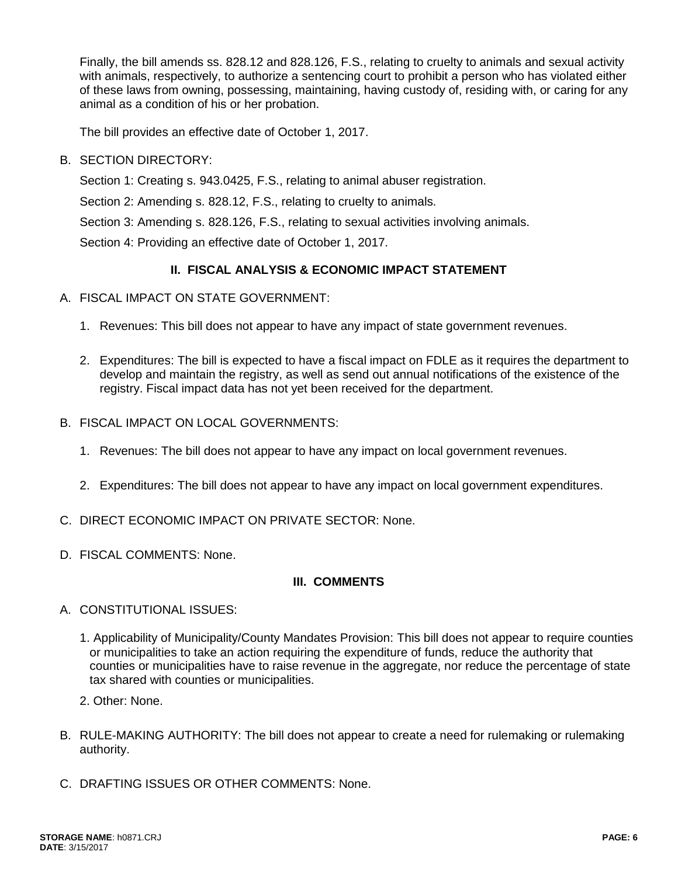Finally, the bill amends ss. 828.12 and 828.126, F.S., relating to cruelty to animals and sexual activity with animals, respectively, to authorize a sentencing court to prohibit a person who has violated either of these laws from owning, possessing, maintaining, having custody of, residing with, or caring for any animal as a condition of his or her probation.

The bill provides an effective date of October 1, 2017.

B. SECTION DIRECTORY:

Section 1: Creating s. 943.0425, F.S., relating to animal abuser registration.

Section 2: Amending s. 828.12, F.S., relating to cruelty to animals.

Section 3: Amending s. 828.126, F.S., relating to sexual activities involving animals.

Section 4: Providing an effective date of October 1, 2017.

# **II. FISCAL ANALYSIS & ECONOMIC IMPACT STATEMENT**

- A. FISCAL IMPACT ON STATE GOVERNMENT:
	- 1. Revenues: This bill does not appear to have any impact of state government revenues.
	- 2. Expenditures: The bill is expected to have a fiscal impact on FDLE as it requires the department to develop and maintain the registry, as well as send out annual notifications of the existence of the registry. Fiscal impact data has not yet been received for the department.
- B. FISCAL IMPACT ON LOCAL GOVERNMENTS:
	- 1. Revenues: The bill does not appear to have any impact on local government revenues.
	- 2. Expenditures: The bill does not appear to have any impact on local government expenditures.
- C. DIRECT ECONOMIC IMPACT ON PRIVATE SECTOR: None.
- D. FISCAL COMMENTS: None.

# **III. COMMENTS**

- A. CONSTITUTIONAL ISSUES:
	- 1. Applicability of Municipality/County Mandates Provision: This bill does not appear to require counties or municipalities to take an action requiring the expenditure of funds, reduce the authority that counties or municipalities have to raise revenue in the aggregate, nor reduce the percentage of state tax shared with counties or municipalities.
	- 2. Other: None.
- B. RULE-MAKING AUTHORITY: The bill does not appear to create a need for rulemaking or rulemaking authority.
- C. DRAFTING ISSUES OR OTHER COMMENTS: None.